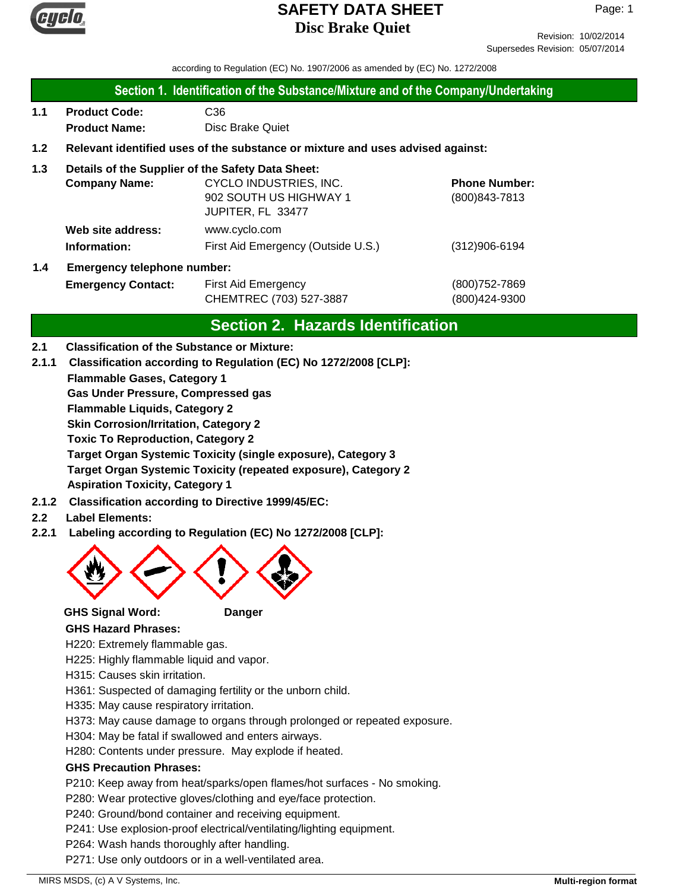

Revision: 10/02/2014 Supersedes Revision: 05/07/2014

according to Regulation (EC) No. 1907/2006 as amended by (EC) No. 1272/2008

#### **Section 1. Identification of the Substance/Mixture and of the Company/Undertaking**

**1.1 Product Code:** C36 **Product Name:** Disc Brake Quiet

### **1.2 Relevant identified uses of the substance or mixture and uses advised against:**

#### **1.3 Details of the Supplier of the Safety Data Sheet:**

|     | <b>Company Name:</b>               | CYCLO INDUSTRIES, INC.             | <b>Phone Number:</b> |
|-----|------------------------------------|------------------------------------|----------------------|
|     |                                    | 902 SOUTH US HIGHWAY 1             | $(800)843 - 7813$    |
|     |                                    | JUPITER, FL 33477                  |                      |
|     | Web site address:                  | www.cyclo.com                      |                      |
|     | Information:                       | First Aid Emergency (Outside U.S.) | $(312)906 - 6194$    |
| 1.4 | <b>Emergency telephone number:</b> |                                    |                      |

# **Emergency Contact:** First Aid Emergency **Emergency** (800)752-7869 CHEMTREC (703) 527-3887 (800)424-9300

# **Section 2. Hazards Identification**

#### **2.1 Classification of the Substance or Mixture:**

**2.1.1 Classification according to Regulation (EC) No 1272/2008 [CLP]:**

**Flammable Gases, Category 1**

**Gas Under Pressure, Compressed gas**

**Flammable Liquids, Category 2**

**Skin Corrosion/Irritation, Category 2**

**Toxic To Reproduction, Category 2**

**Target Organ Systemic Toxicity (single exposure), Category 3 Target Organ Systemic Toxicity (repeated exposure), Category 2 Aspiration Toxicity, Category 1**

- **2.1.2 Classification according to Directive 1999/45/EC:**
- **2.2 Label Elements:**
- **2.2.1 Labeling according to Regulation (EC) No 1272/2008 [CLP]:**



#### **GHS Signal Word: Danger**

**GHS Hazard Phrases:**

H220: Extremely flammable gas.

H225: Highly flammable liquid and vapor.

- H315: Causes skin irritation.
- H361: Suspected of damaging fertility or the unborn child.
- H335: May cause respiratory irritation.
- H373: May cause damage to organs through prolonged or repeated exposure.
- H304: May be fatal if swallowed and enters airways.
- H280: Contents under pressure. May explode if heated.

#### **GHS Precaution Phrases:**

P210: Keep away from heat/sparks/open flames/hot surfaces - No smoking.

P280: Wear protective gloves/clothing and eye/face protection.

- P240: Ground/bond container and receiving equipment.
- P241: Use explosion-proof electrical/ventilating/lighting equipment.
- P264: Wash hands thoroughly after handling.

P271: Use only outdoors or in a well-ventilated area.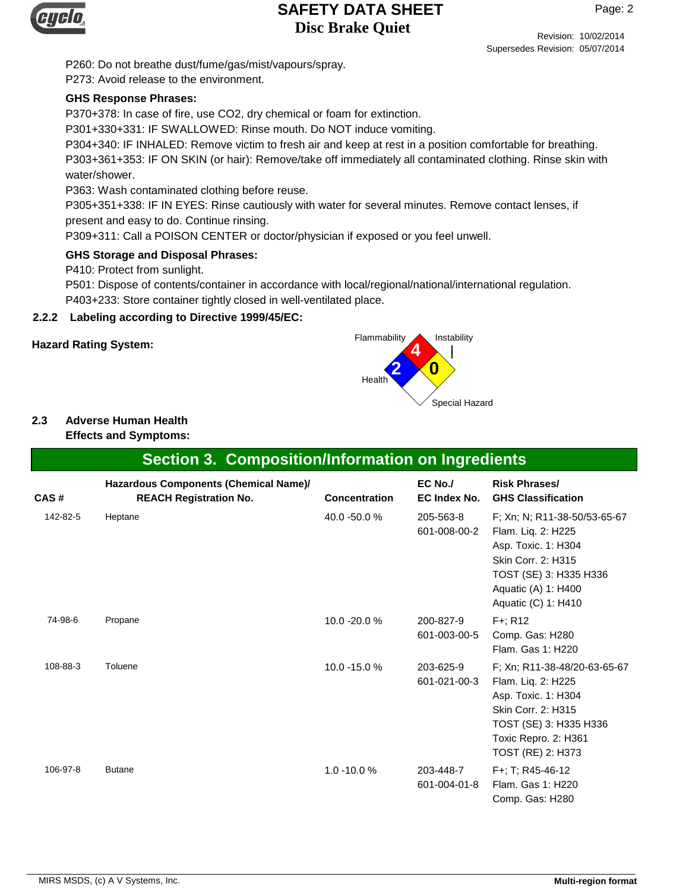

Revision: 10/02/2014 Supersedes Revision: 05/07/2014

P260: Do not breathe dust/fume/gas/mist/vapours/spray. P273: Avoid release to the environment.

## **GHS Response Phrases:**

P370+378: In case of fire, use CO2, dry chemical or foam for extinction.

P301+330+331: IF SWALLOWED: Rinse mouth. Do NOT induce vomiting.

P304+340: IF INHALED: Remove victim to fresh air and keep at rest in a position comfortable for breathing. P303+361+353: IF ON SKIN (or hair): Remove/take off immediately all contaminated clothing. Rinse skin with water/shower.

P363: Wash contaminated clothing before reuse.

P305+351+338: IF IN EYES: Rinse cautiously with water for several minutes. Remove contact lenses, if

present and easy to do. Continue rinsing.

P309+311: Call a POISON CENTER or doctor/physician if exposed or you feel unwell.

#### **GHS Storage and Disposal Phrases:**

P410: Protect from sunlight.

P501: Dispose of contents/container in accordance with local/regional/national/international regulation. P403+233: Store container tightly closed in well-ventilated place.

#### **2.2.2 Labeling according to Directive 1999/45/EC:**



## **2.3 Adverse Human Health**

**Effects and Symptoms:**

|          | <b>Section 3. Composition/Information on Ingredients</b>               |                      |                           |                                                                                                                                                                         |
|----------|------------------------------------------------------------------------|----------------------|---------------------------|-------------------------------------------------------------------------------------------------------------------------------------------------------------------------|
| CAS#     | Hazardous Components (Chemical Name)/<br><b>REACH Registration No.</b> | <b>Concentration</b> | $EC$ No./<br>EC Index No. | <b>Risk Phrases/</b><br><b>GHS Classification</b>                                                                                                                       |
| 142-82-5 | Heptane                                                                | 40.0 -50.0 %         | 205-563-8<br>601-008-00-2 | F; Xn; N; R11-38-50/53-65-67<br>Flam. Liq. 2: H225<br>Asp. Toxic. 1: H304<br>Skin Corr. 2: H315<br>TOST (SE) 3: H335 H336<br>Aquatic (A) 1: H400<br>Aquatic (C) 1: H410 |
| 74-98-6  | Propane                                                                | 10.0 -20.0 %         | 200-827-9<br>601-003-00-5 | $F +$ ; R12<br>Comp. Gas: H280<br>Flam, Gas 1: H220                                                                                                                     |
| 108-88-3 | Toluene                                                                | 10.0 -15.0 %         | 203-625-9<br>601-021-00-3 | F; Xn; R11-38-48/20-63-65-67<br>Flam. Liq. 2: H225<br>Asp. Toxic. 1: H304<br>Skin Corr. 2: H315<br>TOST (SE) 3: H335 H336<br>Toxic Repro. 2: H361<br>TOST (RE) 2: H373  |
| 106-97-8 | <b>Butane</b>                                                          | $1.0 - 10.0 %$       | 203-448-7<br>601-004-01-8 | F+; T; R45-46-12<br>Flam, Gas 1: H220<br>Comp. Gas: H280                                                                                                                |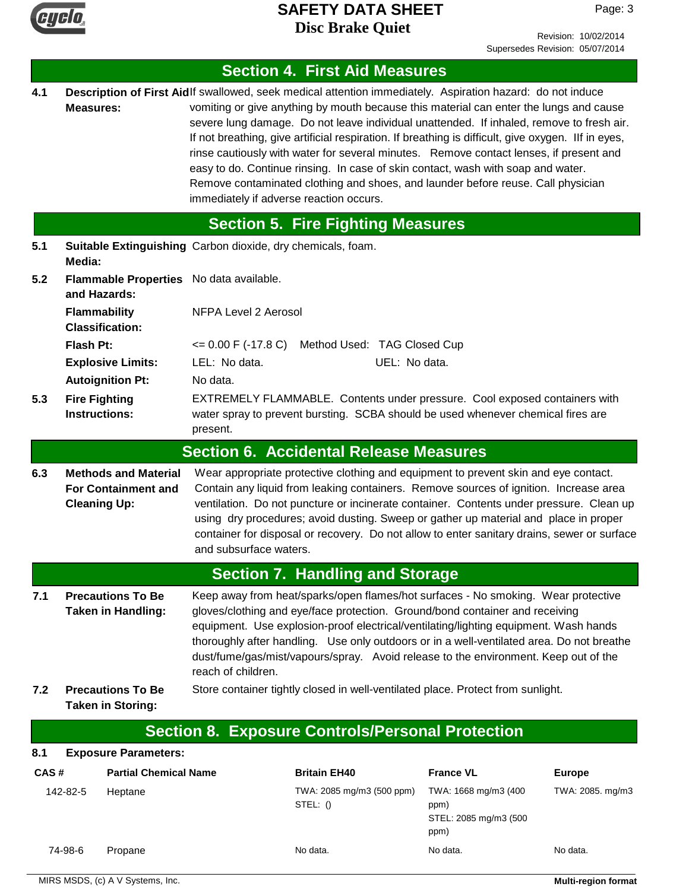

Page: 3

|      |                                              |                                                           |                                                                                                                                                                                                                                                                                                                                                                                                                                                                                          | <b>Section 4. First Aid Measures</b>                                                                                                                                                                                                                                                                                                                                                                                                                                                                                                                                                                                                                                      |                                                               |                  |
|------|----------------------------------------------|-----------------------------------------------------------|------------------------------------------------------------------------------------------------------------------------------------------------------------------------------------------------------------------------------------------------------------------------------------------------------------------------------------------------------------------------------------------------------------------------------------------------------------------------------------------|---------------------------------------------------------------------------------------------------------------------------------------------------------------------------------------------------------------------------------------------------------------------------------------------------------------------------------------------------------------------------------------------------------------------------------------------------------------------------------------------------------------------------------------------------------------------------------------------------------------------------------------------------------------------------|---------------------------------------------------------------|------------------|
| 4.1  | <b>Measures:</b>                             |                                                           | immediately if adverse reaction occurs.                                                                                                                                                                                                                                                                                                                                                                                                                                                  | Description of First Aidlf swallowed, seek medical attention immediately. Aspiration hazard: do not induce<br>vomiting or give anything by mouth because this material can enter the lungs and cause<br>severe lung damage. Do not leave individual unattended. If inhaled, remove to fresh air.<br>If not breathing, give artificial respiration. If breathing is difficult, give oxygen. Ilf in eyes,<br>rinse cautiously with water for several minutes. Remove contact lenses, if present and<br>easy to do. Continue rinsing. In case of skin contact, wash with soap and water.<br>Remove contaminated clothing and shoes, and launder before reuse. Call physician |                                                               |                  |
|      |                                              |                                                           |                                                                                                                                                                                                                                                                                                                                                                                                                                                                                          | <b>Section 5. Fire Fighting Measures</b>                                                                                                                                                                                                                                                                                                                                                                                                                                                                                                                                                                                                                                  |                                                               |                  |
| 5.1  | Media:                                       |                                                           | Suitable Extinguishing Carbon dioxide, dry chemicals, foam.                                                                                                                                                                                                                                                                                                                                                                                                                              |                                                                                                                                                                                                                                                                                                                                                                                                                                                                                                                                                                                                                                                                           |                                                               |                  |
| 5.2  | and Hazards:                                 |                                                           | Flammable Properties No data available.                                                                                                                                                                                                                                                                                                                                                                                                                                                  |                                                                                                                                                                                                                                                                                                                                                                                                                                                                                                                                                                                                                                                                           |                                                               |                  |
|      | <b>Flammability</b>                          | <b>Classification:</b>                                    | NFPA Level 2 Aerosol                                                                                                                                                                                                                                                                                                                                                                                                                                                                     |                                                                                                                                                                                                                                                                                                                                                                                                                                                                                                                                                                                                                                                                           |                                                               |                  |
|      | Flash Pt:                                    |                                                           |                                                                                                                                                                                                                                                                                                                                                                                                                                                                                          | <= 0.00 F (-17.8 C) Method Used: TAG Closed Cup                                                                                                                                                                                                                                                                                                                                                                                                                                                                                                                                                                                                                           |                                                               |                  |
|      |                                              | <b>Explosive Limits:</b>                                  | LEL: No data.                                                                                                                                                                                                                                                                                                                                                                                                                                                                            | UEL: No data.                                                                                                                                                                                                                                                                                                                                                                                                                                                                                                                                                                                                                                                             |                                                               |                  |
|      |                                              | <b>Autoignition Pt:</b>                                   | No data.                                                                                                                                                                                                                                                                                                                                                                                                                                                                                 |                                                                                                                                                                                                                                                                                                                                                                                                                                                                                                                                                                                                                                                                           |                                                               |                  |
| 5.3  | <b>Fire Fighting</b><br><b>Instructions:</b> |                                                           | present.                                                                                                                                                                                                                                                                                                                                                                                                                                                                                 | EXTREMELY FLAMMABLE. Contents under pressure. Cool exposed containers with<br>water spray to prevent bursting. SCBA should be used whenever chemical fires are                                                                                                                                                                                                                                                                                                                                                                                                                                                                                                            |                                                               |                  |
|      |                                              |                                                           |                                                                                                                                                                                                                                                                                                                                                                                                                                                                                          | <b>Section 6. Accidental Release Measures</b>                                                                                                                                                                                                                                                                                                                                                                                                                                                                                                                                                                                                                             |                                                               |                  |
| 6.3  | <b>Cleaning Up:</b>                          | <b>Methods and Material</b><br><b>For Containment and</b> | Wear appropriate protective clothing and equipment to prevent skin and eye contact.<br>Contain any liquid from leaking containers. Remove sources of ignition. Increase area<br>ventilation. Do not puncture or incinerate container. Contents under pressure. Clean up<br>using dry procedures; avoid dusting. Sweep or gather up material and place in proper<br>container for disposal or recovery. Do not allow to enter sanitary drains, sewer or surface<br>and subsurface waters. |                                                                                                                                                                                                                                                                                                                                                                                                                                                                                                                                                                                                                                                                           |                                                               |                  |
|      |                                              |                                                           |                                                                                                                                                                                                                                                                                                                                                                                                                                                                                          | <b>Section 7. Handling and Storage</b>                                                                                                                                                                                                                                                                                                                                                                                                                                                                                                                                                                                                                                    |                                                               |                  |
| 7.1  |                                              | <b>Precautions To Be</b><br><b>Taken in Handling:</b>     | reach of children.                                                                                                                                                                                                                                                                                                                                                                                                                                                                       | Keep away from heat/sparks/open flames/hot surfaces - No smoking. Wear protective<br>gloves/clothing and eye/face protection. Ground/bond container and receiving<br>equipment. Use explosion-proof electrical/ventilating/lighting equipment. Wash hands<br>thoroughly after handling. Use only outdoors or in a well-ventilated area. Do not breathe<br>dust/fume/gas/mist/vapours/spray. Avoid release to the environment. Keep out of the                                                                                                                                                                                                                             |                                                               |                  |
| 7.2  |                                              | <b>Precautions To Be</b><br><b>Taken in Storing:</b>      |                                                                                                                                                                                                                                                                                                                                                                                                                                                                                          | Store container tightly closed in well-ventilated place. Protect from sunlight.                                                                                                                                                                                                                                                                                                                                                                                                                                                                                                                                                                                           |                                                               |                  |
|      |                                              |                                                           |                                                                                                                                                                                                                                                                                                                                                                                                                                                                                          | <b>Section 8. Exposure Controls/Personal Protection</b>                                                                                                                                                                                                                                                                                                                                                                                                                                                                                                                                                                                                                   |                                                               |                  |
| 8.1  |                                              | <b>Exposure Parameters:</b>                               |                                                                                                                                                                                                                                                                                                                                                                                                                                                                                          |                                                                                                                                                                                                                                                                                                                                                                                                                                                                                                                                                                                                                                                                           |                                                               |                  |
| CAS# |                                              | <b>Partial Chemical Name</b>                              |                                                                                                                                                                                                                                                                                                                                                                                                                                                                                          | <b>Britain EH40</b>                                                                                                                                                                                                                                                                                                                                                                                                                                                                                                                                                                                                                                                       | <b>France VL</b>                                              | <b>Europe</b>    |
|      | 142-82-5                                     | Heptane                                                   |                                                                                                                                                                                                                                                                                                                                                                                                                                                                                          | TWA: 2085 mg/m3 (500 ppm)<br>STEL: ()                                                                                                                                                                                                                                                                                                                                                                                                                                                                                                                                                                                                                                     | TWA: 1668 mg/m3 (400<br>ppm)<br>STEL: 2085 mg/m3 (500<br>ppm) | TWA: 2085. mg/m3 |
|      | 74-98-6                                      | Propane                                                   |                                                                                                                                                                                                                                                                                                                                                                                                                                                                                          | No data.                                                                                                                                                                                                                                                                                                                                                                                                                                                                                                                                                                                                                                                                  | No data.                                                      | No data.         |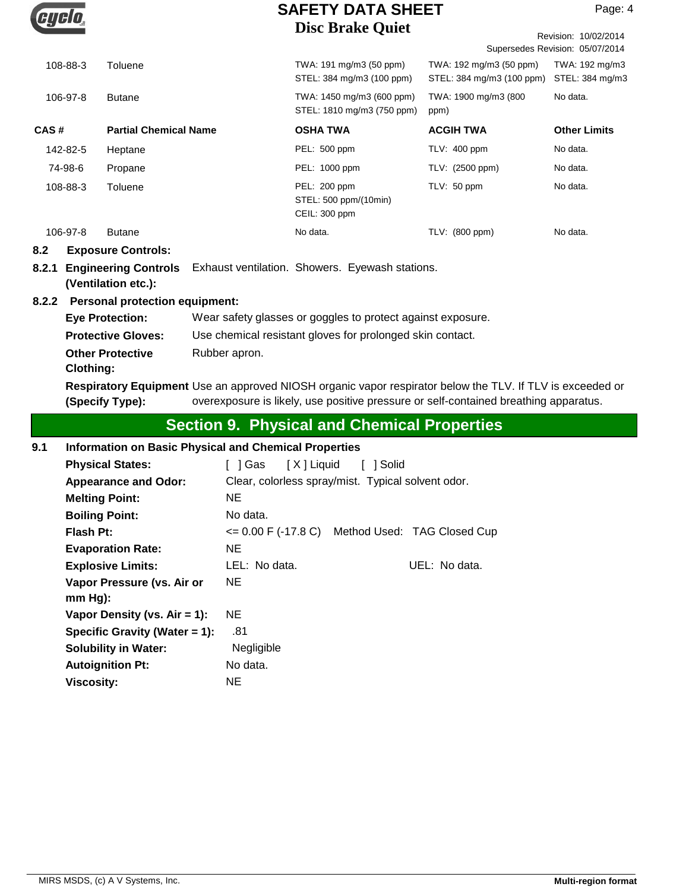

|                           |                                                    |                                                             | <b>DISC DTAKE QUIEL</b>                                                                                                                                                                           |                                                      | Revision: 10/02/2014<br>Supersedes Revision: 05/07/2014 |  |
|---------------------------|----------------------------------------------------|-------------------------------------------------------------|---------------------------------------------------------------------------------------------------------------------------------------------------------------------------------------------------|------------------------------------------------------|---------------------------------------------------------|--|
| 108-88-3                  | Toluene                                            |                                                             | TWA: 191 mg/m3 (50 ppm)<br>STEL: 384 mg/m3 (100 ppm)                                                                                                                                              | TWA: 192 mg/m3 (50 ppm)<br>STEL: 384 mg/m3 (100 ppm) | TWA: 192 mg/m3<br>STEL: 384 mg/m3                       |  |
| 106-97-8                  | <b>Butane</b>                                      |                                                             | TWA: 1450 mg/m3 (600 ppm)<br>STEL: 1810 mg/m3 (750 ppm)                                                                                                                                           | TWA: 1900 mg/m3 (800<br>ppm)                         | No data.                                                |  |
| CAS#                      | <b>Partial Chemical Name</b>                       |                                                             | <b>OSHA TWA</b>                                                                                                                                                                                   | <b>ACGIH TWA</b>                                     | <b>Other Limits</b>                                     |  |
| 142-82-5                  | Heptane                                            |                                                             | PEL: 500 ppm                                                                                                                                                                                      | TLV: 400 ppm                                         | No data.                                                |  |
| 74-98-6                   | Propane                                            |                                                             | PEL: 1000 ppm                                                                                                                                                                                     | TLV: (2500 ppm)                                      | No data.                                                |  |
| 108-88-3                  | Toluene                                            |                                                             | PEL: 200 ppm<br>STEL: 500 ppm/(10min)<br>CEIL: 300 ppm                                                                                                                                            | TLV: 50 ppm                                          | No data.                                                |  |
| 106-97-8                  | <b>Butane</b>                                      |                                                             | No data.                                                                                                                                                                                          | TLV: (800 ppm)                                       | No data.                                                |  |
| 8.2                       | <b>Exposure Controls:</b>                          |                                                             |                                                                                                                                                                                                   |                                                      |                                                         |  |
| 8.2.1                     | <b>Engineering Controls</b><br>(Ventilation etc.): |                                                             | Exhaust ventilation. Showers. Eyewash stations.                                                                                                                                                   |                                                      |                                                         |  |
| 8.2.2                     | <b>Personal protection equipment:</b>              |                                                             |                                                                                                                                                                                                   |                                                      |                                                         |  |
|                           | <b>Eye Protection:</b>                             | Wear safety glasses or goggles to protect against exposure. |                                                                                                                                                                                                   |                                                      |                                                         |  |
| <b>Protective Gloves:</b> |                                                    | Use chemical resistant gloves for prolonged skin contact.   |                                                                                                                                                                                                   |                                                      |                                                         |  |
|                           | <b>Other Protective</b>                            | Rubber apron.                                               |                                                                                                                                                                                                   |                                                      |                                                         |  |
| Clothing:                 |                                                    |                                                             |                                                                                                                                                                                                   |                                                      |                                                         |  |
|                           | (Specify Type):                                    |                                                             | Respiratory Equipment Use an approved NIOSH organic vapor respirator below the TLV. If TLV is exceeded or<br>overexposure is likely, use positive pressure or self-contained breathing apparatus. |                                                      |                                                         |  |
|                           |                                                    |                                                             | <b>Section 9. Physical and Chemical Properties</b>                                                                                                                                                |                                                      |                                                         |  |

## **Section 9. Physical and Chemical Properties**

| 9.1 |  |  | Information on Basic Physical and Chemical Properties |
|-----|--|--|-------------------------------------------------------|
|-----|--|--|-------------------------------------------------------|

| <b>Physical States:</b>                 | [X] Liquid<br>1 Gas<br>1 Solid                      |               |
|-----------------------------------------|-----------------------------------------------------|---------------|
| <b>Appearance and Odor:</b>             | Clear, colorless spray/mist. Typical solvent odor.  |               |
| <b>Melting Point:</b>                   | NE.                                                 |               |
| <b>Boiling Point:</b>                   | No data.                                            |               |
| <b>Flash Pt:</b>                        | $\leq$ 0.00 F (-17.8 C) Method Used: TAG Closed Cup |               |
| <b>Evaporation Rate:</b>                | NE.                                                 |               |
| <b>Explosive Limits:</b>                | LEL: No data.                                       | UEL: No data. |
| Vapor Pressure (vs. Air or<br>$mm Hg$ : | NE.                                                 |               |
| Vapor Density (vs. $Air = 1$ ):         | ΝE                                                  |               |
| Specific Gravity (Water $= 1$ ):        | .81                                                 |               |
| <b>Solubility in Water:</b>             | Negligible                                          |               |
| <b>Autoignition Pt:</b>                 | No data.                                            |               |
| Viscosity:                              | ΝE                                                  |               |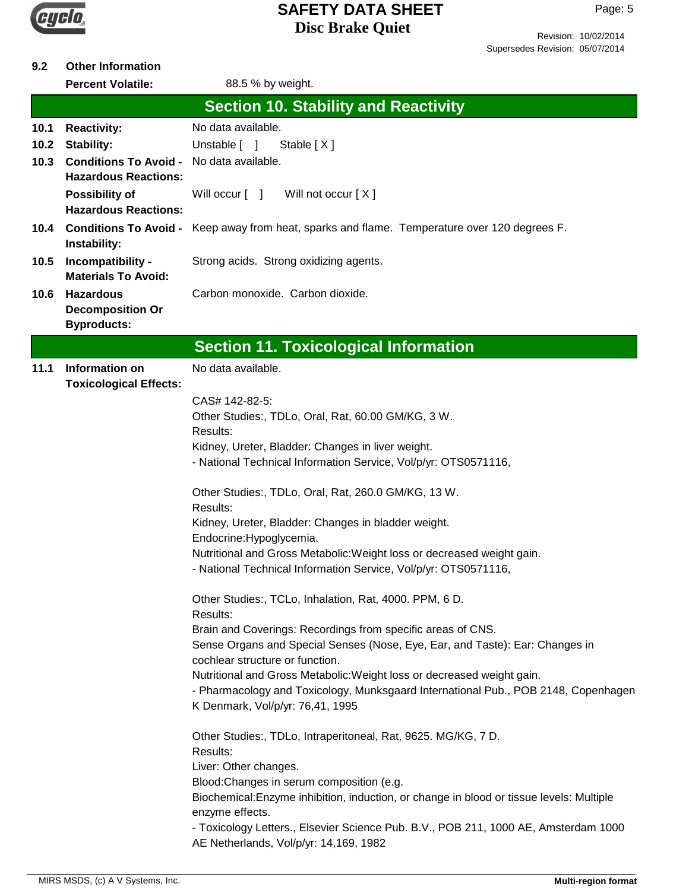

Page: 5

#### **9.2 Other Information**

**Percent Volatile:** 88.5 % by weight.

|      | Percent volatile:                                    | 88.5 % Dy weight.                                                                                                                                            |
|------|------------------------------------------------------|--------------------------------------------------------------------------------------------------------------------------------------------------------------|
|      |                                                      | <b>Section 10. Stability and Reactivity</b>                                                                                                                  |
| 10.1 | <b>Reactivity:</b>                                   | No data available.                                                                                                                                           |
| 10.2 | <b>Stability:</b>                                    | Unstable [ ]<br>Stable [X]                                                                                                                                   |
| 10.3 | <b>Conditions To Avoid -</b>                         | No data available.                                                                                                                                           |
|      | <b>Hazardous Reactions:</b>                          |                                                                                                                                                              |
|      | <b>Possibility of</b><br><b>Hazardous Reactions:</b> | Will not occur [X]<br>Will occur [ ]                                                                                                                         |
| 10.4 | <b>Conditions To Avoid -</b><br>Instability:         | Keep away from heat, sparks and flame. Temperature over 120 degrees F.                                                                                       |
| 10.5 | Incompatibility -<br><b>Materials To Avoid:</b>      | Strong acids. Strong oxidizing agents.                                                                                                                       |
| 10.6 | <b>Hazardous</b><br><b>Decomposition Or</b>          | Carbon monoxide. Carbon dioxide.                                                                                                                             |
|      | <b>Byproducts:</b>                                   |                                                                                                                                                              |
|      |                                                      | <b>Section 11. Toxicological Information</b>                                                                                                                 |
| 11.1 | Information on<br><b>Toxicological Effects:</b>      | No data available.                                                                                                                                           |
|      |                                                      | CAS# 142-82-5:                                                                                                                                               |
|      |                                                      | Other Studies:, TDLo, Oral, Rat, 60.00 GM/KG, 3 W.                                                                                                           |
|      |                                                      | Results:                                                                                                                                                     |
|      |                                                      | Kidney, Ureter, Bladder: Changes in liver weight.<br>- National Technical Information Service, Vol/p/yr: OTS0571116,                                         |
|      |                                                      | Other Studies:, TDLo, Oral, Rat, 260.0 GM/KG, 13 W.<br>Results:                                                                                              |
|      |                                                      | Kidney, Ureter, Bladder: Changes in bladder weight.                                                                                                          |
|      |                                                      | Endocrine: Hypoglycemia.                                                                                                                                     |
|      |                                                      | Nutritional and Gross Metabolic: Weight loss or decreased weight gain.                                                                                       |
|      |                                                      | - National Technical Information Service, Vol/p/yr: OTS0571116,                                                                                              |
|      |                                                      | Other Studies:, TCLo, Inhalation, Rat, 4000. PPM, 6 D.<br>Results:                                                                                           |
|      |                                                      | Brain and Coverings: Recordings from specific areas of CNS.                                                                                                  |
|      |                                                      | Sense Organs and Special Senses (Nose, Eye, Ear, and Taste): Ear: Changes in                                                                                 |
|      |                                                      | cochlear structure or function.                                                                                                                              |
|      |                                                      | Nutritional and Gross Metabolic: Weight loss or decreased weight gain.<br>- Pharmacology and Toxicology, Munksgaard International Pub., POB 2148, Copenhagen |
|      |                                                      | K Denmark, Vol/p/yr: 76,41, 1995                                                                                                                             |
|      |                                                      | Other Studies:, TDLo, Intraperitoneal, Rat, 9625. MG/KG, 7 D.                                                                                                |
|      |                                                      | Results:                                                                                                                                                     |
|      |                                                      | Liver: Other changes.                                                                                                                                        |
|      |                                                      | Blood: Changes in serum composition (e.g.<br>Biochemical: Enzyme inhibition, induction, or change in blood or tissue levels: Multiple                        |
|      |                                                      | enzyme effects.                                                                                                                                              |
|      |                                                      | - Toxicology Letters., Elsevier Science Pub. B.V., POB 211, 1000 AE, Amsterdam 1000                                                                          |
|      |                                                      | AE Netherlands, Vol/p/yr: 14,169, 1982                                                                                                                       |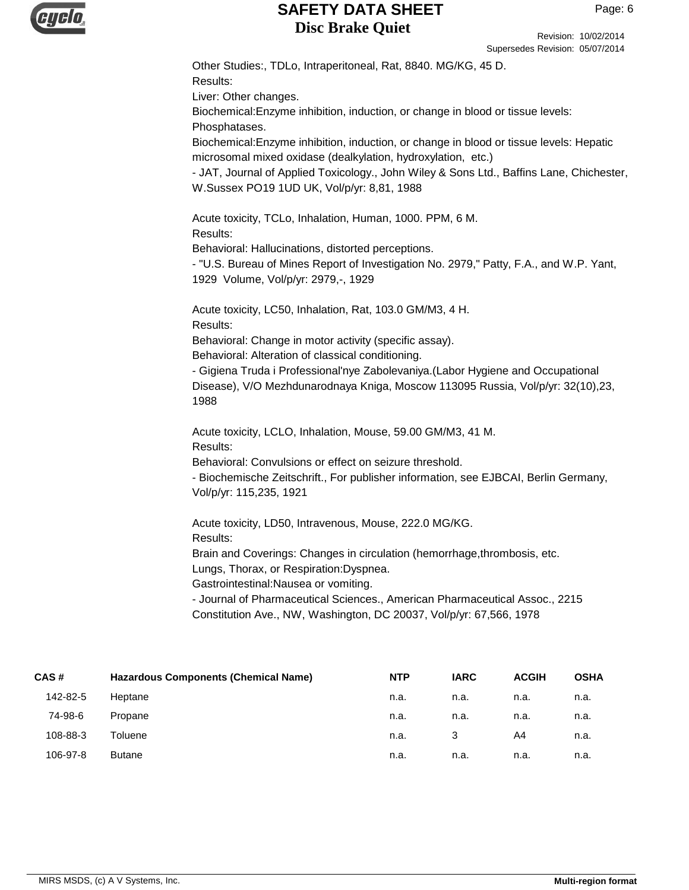

Revision: 10/02/2014 Supersedes Revision: 05/07/2014

Other Studies:, TDLo, Intraperitoneal, Rat, 8840. MG/KG, 45 D. Results: Liver: Other changes. Biochemical:Enzyme inhibition, induction, or change in blood or tissue levels: Phosphatases. Biochemical:Enzyme inhibition, induction, or change in blood or tissue levels: Hepatic microsomal mixed oxidase (dealkylation, hydroxylation, etc.) - JAT, Journal of Applied Toxicology., John Wiley & Sons Ltd., Baffins Lane, Chichester, W.Sussex PO19 1UD UK, Vol/p/yr: 8,81, 1988 Acute toxicity, TCLo, Inhalation, Human, 1000. PPM, 6 M. Results: Behavioral: Hallucinations, distorted perceptions. - "U.S. Bureau of Mines Report of Investigation No. 2979," Patty, F.A., and W.P. Yant, 1929 Volume, Vol/p/yr: 2979,-, 1929 Acute toxicity, LC50, Inhalation, Rat, 103.0 GM/M3, 4 H. Results: Behavioral: Change in motor activity (specific assay). Behavioral: Alteration of classical conditioning. - Gigiena Truda i Professional'nye Zabolevaniya.(Labor Hygiene and Occupational Disease), V/O Mezhdunarodnaya Kniga, Moscow 113095 Russia, Vol/p/yr: 32(10),23, 1988 Acute toxicity, LCLO, Inhalation, Mouse, 59.00 GM/M3, 41 M. Results: Behavioral: Convulsions or effect on seizure threshold. - Biochemische Zeitschrift., For publisher information, see EJBCAI, Berlin Germany, Vol/p/yr: 115,235, 1921 Acute toxicity, LD50, Intravenous, Mouse, 222.0 MG/KG. Results: Brain and Coverings: Changes in circulation (hemorrhage,thrombosis, etc. Lungs, Thorax, or Respiration:Dyspnea. Gastrointestinal:Nausea or vomiting. - Journal of Pharmaceutical Sciences., American Pharmaceutical Assoc., 2215 Constitution Ave., NW, Washington, DC 20037, Vol/p/yr: 67,566, 1978

| CAS#     | <b>Hazardous Components (Chemical Name)</b> | <b>NTP</b> | <b>IARC</b> | <b>ACGIH</b> | <b>OSHA</b> |
|----------|---------------------------------------------|------------|-------------|--------------|-------------|
| 142-82-5 | Heptane                                     | n.a.       | n.a.        | n.a.         | n.a.        |
| 74-98-6  | Propane                                     | n.a.       | n.a.        | n.a.         | n.a.        |
| 108-88-3 | Toluene                                     | n.a.       | 3           | A4           | n.a.        |
| 106-97-8 | <b>Butane</b>                               | n.a.       | n.a.        | n.a.         | n.a.        |
|          |                                             |            |             |              |             |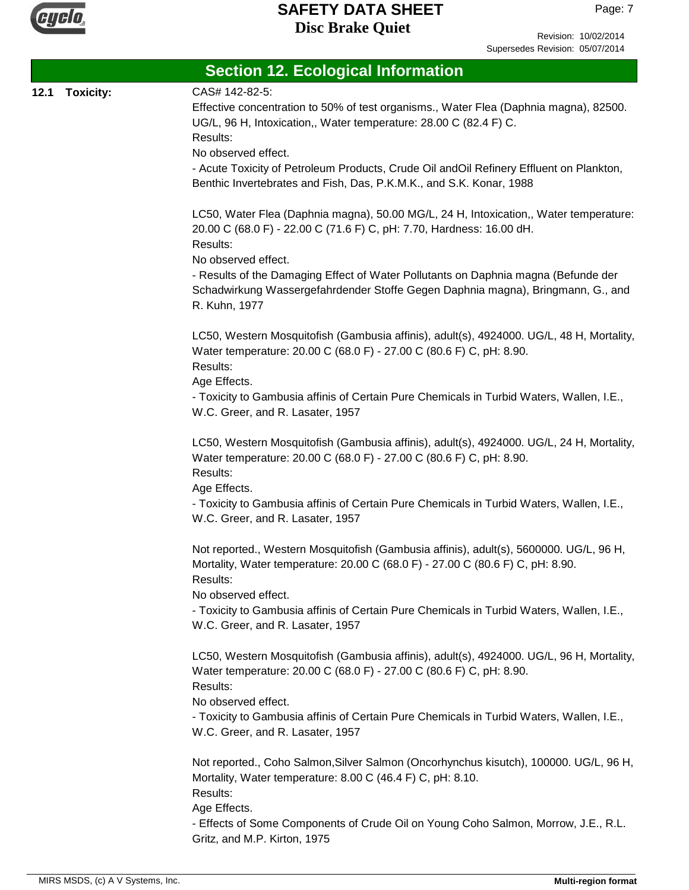

Revision: 10/02/2014 Supersedes Revision: 05/07/2014

|      |                  | <b>Section 12. Ecological Information</b>                                                |
|------|------------------|------------------------------------------------------------------------------------------|
| 12.1 | <b>Toxicity:</b> | CAS# 142-82-5:                                                                           |
|      |                  | Effective concentration to 50% of test organisms., Water Flea (Daphnia magna), 82500.    |
|      |                  | UG/L, 96 H, Intoxication,, Water temperature: 28.00 C (82.4 F) C.                        |
|      |                  | Results:                                                                                 |
|      |                  | No observed effect.                                                                      |
|      |                  | - Acute Toxicity of Petroleum Products, Crude Oil andOil Refinery Effluent on Plankton,  |
|      |                  | Benthic Invertebrates and Fish, Das, P.K.M.K., and S.K. Konar, 1988                      |
|      |                  | LC50, Water Flea (Daphnia magna), 50.00 MG/L, 24 H, Intoxication,, Water temperature:    |
|      |                  | 20.00 C (68.0 F) - 22.00 C (71.6 F) C, pH: 7.70, Hardness: 16.00 dH.                     |
|      |                  | Results:                                                                                 |
|      |                  | No observed effect.                                                                      |
|      |                  | - Results of the Damaging Effect of Water Pollutants on Daphnia magna (Befunde der       |
|      |                  | Schadwirkung Wassergefahrdender Stoffe Gegen Daphnia magna), Bringmann, G., and          |
|      |                  | R. Kuhn, 1977                                                                            |
|      |                  | LC50, Western Mosquitofish (Gambusia affinis), adult(s), 4924000. UG/L, 48 H, Mortality, |
|      |                  | Water temperature: 20.00 C (68.0 F) - 27.00 C (80.6 F) C, pH: 8.90.                      |
|      |                  | Results:                                                                                 |
|      |                  | Age Effects.                                                                             |
|      |                  | - Toxicity to Gambusia affinis of Certain Pure Chemicals in Turbid Waters, Wallen, I.E., |
|      |                  | W.C. Greer, and R. Lasater, 1957                                                         |
|      |                  | LC50, Western Mosquitofish (Gambusia affinis), adult(s), 4924000. UG/L, 24 H, Mortality, |
|      |                  | Water temperature: 20.00 C (68.0 F) - 27.00 C (80.6 F) C, pH: 8.90.                      |
|      |                  | Results:                                                                                 |
|      |                  | Age Effects.                                                                             |
|      |                  | - Toxicity to Gambusia affinis of Certain Pure Chemicals in Turbid Waters, Wallen, I.E., |
|      |                  | W.C. Greer, and R. Lasater, 1957                                                         |
|      |                  | Not reported., Western Mosquitofish (Gambusia affinis), adult(s), 5600000. UG/L, 96 H,   |
|      |                  | Mortality, Water temperature: 20.00 C (68.0 F) - 27.00 C (80.6 F) C, pH: 8.90.           |
|      |                  | Results:                                                                                 |
|      |                  | No observed effect.                                                                      |
|      |                  | - Toxicity to Gambusia affinis of Certain Pure Chemicals in Turbid Waters, Wallen, I.E., |
|      |                  | W.C. Greer, and R. Lasater, 1957                                                         |
|      |                  | LC50, Western Mosquitofish (Gambusia affinis), adult(s), 4924000. UG/L, 96 H, Mortality, |
|      |                  | Water temperature: 20.00 C (68.0 F) - 27.00 C (80.6 F) C, pH: 8.90.                      |
|      |                  | Results:                                                                                 |
|      |                  | No observed effect.                                                                      |
|      |                  | - Toxicity to Gambusia affinis of Certain Pure Chemicals in Turbid Waters, Wallen, I.E., |
|      |                  | W.C. Greer, and R. Lasater, 1957                                                         |
|      |                  | Not reported., Coho Salmon, Silver Salmon (Oncorhynchus kisutch), 100000. UG/L, 96 H,    |
|      |                  | Mortality, Water temperature: 8.00 C (46.4 F) C, pH: 8.10.                               |
|      |                  | Results:                                                                                 |
|      |                  | Age Effects.                                                                             |
|      |                  | - Effects of Some Components of Crude Oil on Young Coho Salmon, Morrow, J.E., R.L.       |
|      |                  | Gritz, and M.P. Kirton, 1975                                                             |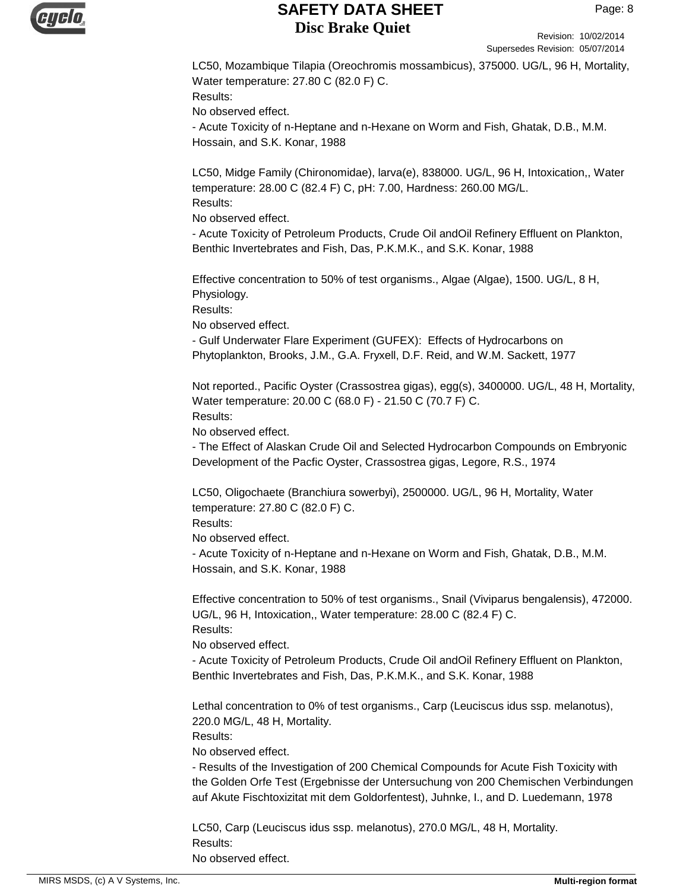

Revision: 10/02/2014 Supersedes Revision: 05/07/2014

LC50, Mozambique Tilapia (Oreochromis mossambicus), 375000. UG/L, 96 H, Mortality, Water temperature: 27.80 C (82.0 F) C. Results: No observed effect.

- Acute Toxicity of n-Heptane and n-Hexane on Worm and Fish, Ghatak, D.B., M.M. Hossain, and S.K. Konar, 1988

LC50, Midge Family (Chironomidae), larva(e), 838000. UG/L, 96 H, Intoxication,, Water temperature: 28.00 C (82.4 F) C, pH: 7.00, Hardness: 260.00 MG/L. Results:

No observed effect.

- Acute Toxicity of Petroleum Products, Crude Oil andOil Refinery Effluent on Plankton, Benthic Invertebrates and Fish, Das, P.K.M.K., and S.K. Konar, 1988

Effective concentration to 50% of test organisms., Algae (Algae), 1500. UG/L, 8 H, Physiology.

Results:

No observed effect.

- Gulf Underwater Flare Experiment (GUFEX): Effects of Hydrocarbons on Phytoplankton, Brooks, J.M., G.A. Fryxell, D.F. Reid, and W.M. Sackett, 1977

Not reported., Pacific Oyster (Crassostrea gigas), egg(s), 3400000. UG/L, 48 H, Mortality, Water temperature: 20.00 C (68.0 F) - 21.50 C (70.7 F) C. Results:

No observed effect.

- The Effect of Alaskan Crude Oil and Selected Hydrocarbon Compounds on Embryonic Development of the Pacfic Oyster, Crassostrea gigas, Legore, R.S., 1974

LC50, Oligochaete (Branchiura sowerbyi), 2500000. UG/L, 96 H, Mortality, Water temperature: 27.80 C (82.0 F) C.

Results:

No observed effect.

- Acute Toxicity of n-Heptane and n-Hexane on Worm and Fish, Ghatak, D.B., M.M. Hossain, and S.K. Konar, 1988

Effective concentration to 50% of test organisms., Snail (Viviparus bengalensis), 472000. UG/L, 96 H, Intoxication,, Water temperature: 28.00 C (82.4 F) C. Results:

No observed effect.

- Acute Toxicity of Petroleum Products, Crude Oil andOil Refinery Effluent on Plankton, Benthic Invertebrates and Fish, Das, P.K.M.K., and S.K. Konar, 1988

Lethal concentration to 0% of test organisms., Carp (Leuciscus idus ssp. melanotus), 220.0 MG/L, 48 H, Mortality.

Results:

No observed effect.

- Results of the Investigation of 200 Chemical Compounds for Acute Fish Toxicity with the Golden Orfe Test (Ergebnisse der Untersuchung von 200 Chemischen Verbindungen auf Akute Fischtoxizitat mit dem Goldorfentest), Juhnke, I., and D. Luedemann, 1978

LC50, Carp (Leuciscus idus ssp. melanotus), 270.0 MG/L, 48 H, Mortality. Results: No observed effect.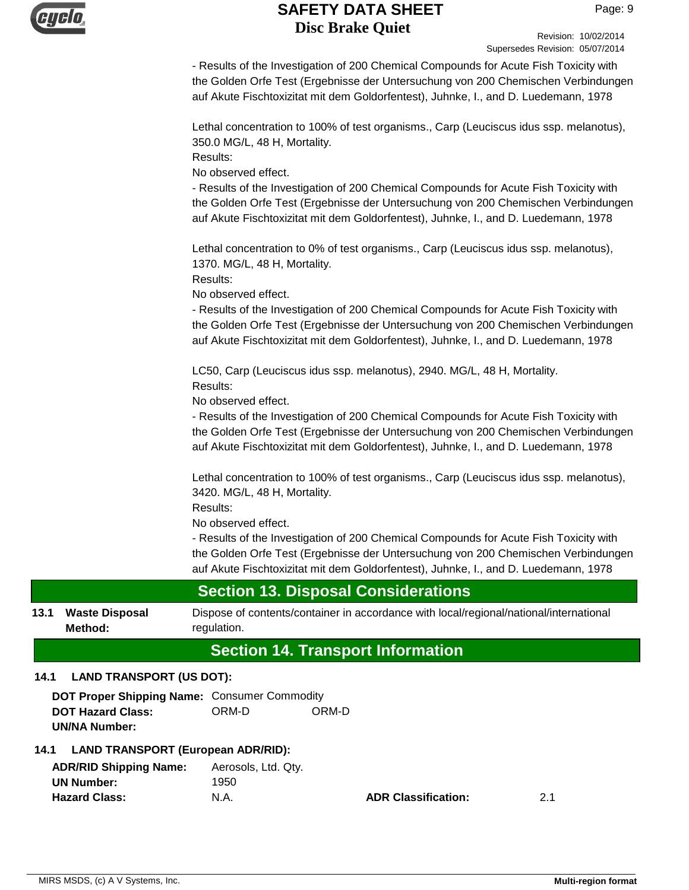

Revision: 10/02/2014 Supersedes Revision: 05/07/2014

- Results of the Investigation of 200 Chemical Compounds for Acute Fish Toxicity with the Golden Orfe Test (Ergebnisse der Untersuchung von 200 Chemischen Verbindungen auf Akute Fischtoxizitat mit dem Goldorfentest), Juhnke, I., and D. Luedemann, 1978

Lethal concentration to 100% of test organisms., Carp (Leuciscus idus ssp. melanotus), 350.0 MG/L, 48 H, Mortality.

Results:

No observed effect.

- Results of the Investigation of 200 Chemical Compounds for Acute Fish Toxicity with the Golden Orfe Test (Ergebnisse der Untersuchung von 200 Chemischen Verbindungen auf Akute Fischtoxizitat mit dem Goldorfentest), Juhnke, I., and D. Luedemann, 1978

Lethal concentration to 0% of test organisms., Carp (Leuciscus idus ssp. melanotus), 1370. MG/L, 48 H, Mortality.

Results:

No observed effect.

- Results of the Investigation of 200 Chemical Compounds for Acute Fish Toxicity with the Golden Orfe Test (Ergebnisse der Untersuchung von 200 Chemischen Verbindungen auf Akute Fischtoxizitat mit dem Goldorfentest), Juhnke, I., and D. Luedemann, 1978

LC50, Carp (Leuciscus idus ssp. melanotus), 2940. MG/L, 48 H, Mortality. Results:

No observed effect.

- Results of the Investigation of 200 Chemical Compounds for Acute Fish Toxicity with the Golden Orfe Test (Ergebnisse der Untersuchung von 200 Chemischen Verbindungen auf Akute Fischtoxizitat mit dem Goldorfentest), Juhnke, I., and D. Luedemann, 1978

Lethal concentration to 100% of test organisms., Carp (Leuciscus idus ssp. melanotus), 3420. MG/L, 48 H, Mortality.

Results:

No observed effect.

- Results of the Investigation of 200 Chemical Compounds for Acute Fish Toxicity with the Golden Orfe Test (Ergebnisse der Untersuchung von 200 Chemischen Verbindungen auf Akute Fischtoxizitat mit dem Goldorfentest), Juhnke, I., and D. Luedemann, 1978

## **Section 13. Disposal Considerations**

**13.1 Waste Disposal** Dispose of contents/container in accordance with local/regional/national/international regulation. **Waste Disposal Method:**

# **Section 14. Transport Information**

#### **14.1 LAND TRANSPORT (US DOT):**

**DOT Proper Shipping Name:** Consumer Commodity **DOT Hazard Class:** ORM-D ORM-D **UN/NA Number:**

#### **14.1 LAND TRANSPORT (European ADR/RID):**

| <b>ADR/RID Shipping Name:</b> | Aerosols, Ltd. Qty. |
|-------------------------------|---------------------|
| <b>UN Number:</b>             | 1950                |
| <b>Hazard Class:</b>          | N.A.                |

**ADR Classification:** 2.1

MIRS MSDS, (c) A V Systems, Inc. **Multi-region format Multi-region format Multi-region format**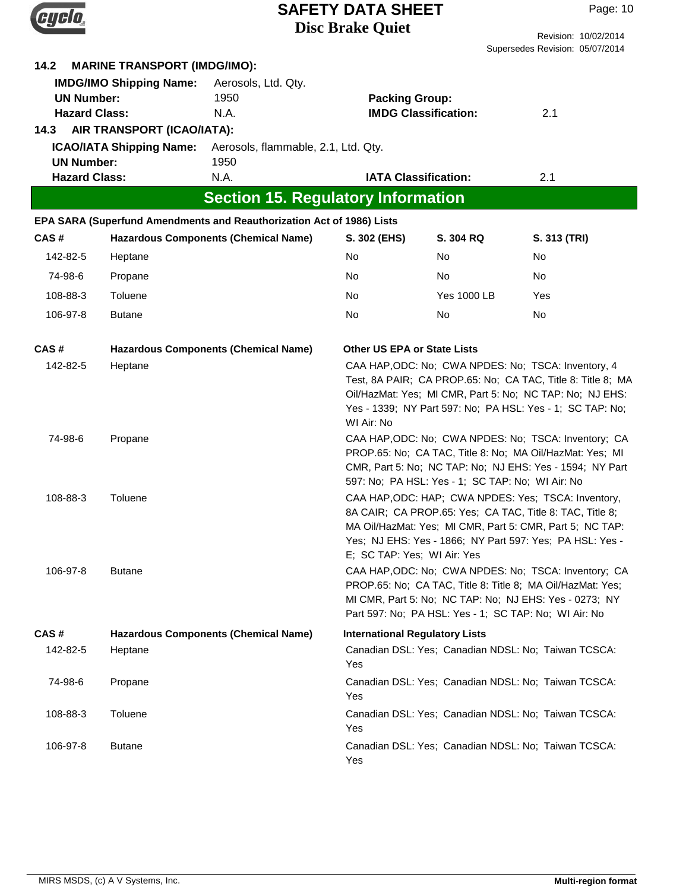|                                                           |                                                                                                     |                                                                       | <b>SAFETY DATA SHEET</b><br><b>Disc Brake Quiet</b> |                                                  | Page: 10<br>Revision: 10/02/2014                                                                                                                                                                                                            |
|-----------------------------------------------------------|-----------------------------------------------------------------------------------------------------|-----------------------------------------------------------------------|-----------------------------------------------------|--------------------------------------------------|---------------------------------------------------------------------------------------------------------------------------------------------------------------------------------------------------------------------------------------------|
|                                                           |                                                                                                     |                                                                       |                                                     |                                                  | Supersedes Revision: 05/07/2014                                                                                                                                                                                                             |
| 14.2<br><b>UN Number:</b><br><b>Hazard Class:</b><br>14.3 | <b>MARINE TRANSPORT (IMDG/IMO):</b><br><b>IMDG/IMO Shipping Name:</b><br>AIR TRANSPORT (ICAO/IATA): | Aerosols, Ltd. Qty.<br>1950<br>N.A.                                   | <b>Packing Group:</b>                               | <b>IMDG Classification:</b>                      | 2.1                                                                                                                                                                                                                                         |
| <b>UN Number:</b>                                         | <b>ICAO/IATA Shipping Name:</b>                                                                     | Aerosols, flammable, 2.1, Ltd. Qty.<br>1950                           |                                                     |                                                  |                                                                                                                                                                                                                                             |
| <b>Hazard Class:</b>                                      |                                                                                                     | N.A.                                                                  | <b>IATA Classification:</b>                         |                                                  | 2.1                                                                                                                                                                                                                                         |
|                                                           |                                                                                                     | <b>Section 15. Regulatory Information</b>                             |                                                     |                                                  |                                                                                                                                                                                                                                             |
|                                                           |                                                                                                     | EPA SARA (Superfund Amendments and Reauthorization Act of 1986) Lists |                                                     |                                                  |                                                                                                                                                                                                                                             |
| CAS#                                                      |                                                                                                     | <b>Hazardous Components (Chemical Name)</b>                           | S. 302 (EHS)                                        | S. 304 RQ                                        | S. 313 (TRI)                                                                                                                                                                                                                                |
| 142-82-5                                                  | Heptane                                                                                             |                                                                       | No                                                  | No                                               | No.                                                                                                                                                                                                                                         |
| 74-98-6                                                   | Propane                                                                                             |                                                                       | No                                                  | No.                                              | No.                                                                                                                                                                                                                                         |
| 108-88-3                                                  | Toluene                                                                                             |                                                                       | No                                                  | <b>Yes 1000 LB</b>                               | Yes                                                                                                                                                                                                                                         |
| 106-97-8                                                  | <b>Butane</b>                                                                                       |                                                                       | No                                                  | No                                               | No                                                                                                                                                                                                                                          |
| CAS#                                                      |                                                                                                     | <b>Hazardous Components (Chemical Name)</b>                           | <b>Other US EPA or State Lists</b>                  |                                                  |                                                                                                                                                                                                                                             |
| 142-82-5                                                  | Heptane                                                                                             |                                                                       | WI Air: No                                          |                                                  | CAA HAP, ODC: No; CWA NPDES: No; TSCA: Inventory, 4<br>Test, 8A PAIR; CA PROP.65: No; CA TAC, Title 8: Title 8; MA<br>Oil/HazMat: Yes; MI CMR, Part 5: No; NC TAP: No; NJ EHS:<br>Yes - 1339; NY Part 597: No; PA HSL: Yes - 1; SC TAP: No; |
| 74-98-6                                                   | Propane                                                                                             |                                                                       |                                                     | 597: No; PA HSL: Yes - 1; SC TAP: No; WI Air: No | CAA HAP, ODC: No; CWA NPDES: No; TSCA: Inventory; CA<br>PROP.65: No; CA TAC, Title 8: No; MA Oil/HazMat: Yes; MI<br>CMR, Part 5: No; NC TAP: No; NJ EHS: Yes - 1594; NY Part                                                                |
| 108-88-3                                                  | Toluene                                                                                             |                                                                       | E; SC TAP: Yes; WI Air: Yes                         |                                                  | CAA HAP, ODC: HAP; CWA NPDES: Yes; TSCA: Inventory,<br>8A CAIR; CA PROP.65: Yes; CA TAC, Title 8: TAC, Title 8;<br>MA Oil/HazMat: Yes; MI CMR, Part 5: CMR, Part 5; NC TAP:<br>Yes; NJ EHS: Yes - 1866; NY Part 597: Yes; PA HSL: Yes -     |
| 106-97-8                                                  | <b>Butane</b>                                                                                       |                                                                       |                                                     |                                                  | CAA HAP, ODC: No; CWA NPDES: No; TSCA: Inventory; CA<br>PROP.65: No; CA TAC, Title 8: Title 8; MA Oil/HazMat: Yes;<br>MI CMR, Part 5: No; NC TAP: No; NJ EHS: Yes - 0273; NY<br>Part 597: No; PA HSL: Yes - 1; SC TAP: No; WI Air: No       |
| CAS#                                                      |                                                                                                     | <b>Hazardous Components (Chemical Name)</b>                           | <b>International Regulatory Lists</b>               |                                                  |                                                                                                                                                                                                                                             |
| 142-82-5                                                  | Heptane                                                                                             |                                                                       | Yes                                                 |                                                  | Canadian DSL: Yes; Canadian NDSL: No; Taiwan TCSCA:                                                                                                                                                                                         |
| 74-98-6                                                   | Propane                                                                                             |                                                                       | Yes                                                 |                                                  | Canadian DSL: Yes; Canadian NDSL: No; Taiwan TCSCA:                                                                                                                                                                                         |
| 108-88-3                                                  | Toluene                                                                                             |                                                                       | Yes                                                 |                                                  | Canadian DSL: Yes; Canadian NDSL: No; Taiwan TCSCA:                                                                                                                                                                                         |
| 106-97-8                                                  | <b>Butane</b>                                                                                       |                                                                       | Yes                                                 |                                                  | Canadian DSL: Yes; Canadian NDSL: No; Taiwan TCSCA:                                                                                                                                                                                         |